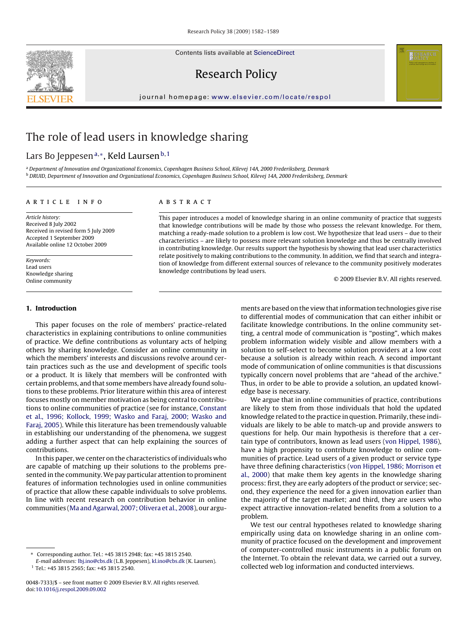Contents lists available at [ScienceDirect](http://www.sciencedirect.com/science/journal/00487333)

# Research Policy

journal homepage: [www.elsevier.com/locate/respol](http://www.elsevier.com/locate/respol)

# The role of lead users in knowledge sharing

# Lars Bo Jeppesen<sup>a,∗</sup>, Keld Laursen<sup>b,1</sup>

<sup>a</sup> Department of Innovation and Organizational Economics, Copenhagen Business School, Kilevej 14A, 2000 Frederiksberg, Denmark <sup>b</sup> DRUID, Department of Innovation and Organizational Economics, Copenhagen Business School, Kilevej 14A, 2000 Frederiksberg, Denmark

# article info

Article history: Received 8 July 2002 Received in revised form 5 July 2009 Accepted 1 September 2009 Available online 12 October 2009

Keywords: Lead users Knowledge sharing Online community

# **1. Introduction**

This paper focuses on the role of members' practice-related characteristics in explaining contributions to online communities of practice. We define contributions as voluntary acts of helping others by sharing knowledge. Consider an online community in which the members' interests and discussions revolve around certain practices such as the use and development of specific tools or a product. It is likely that members will be confronted with certain problems, and that some members have already found solutions to these problems. Prior literature within this area of interest focuses mostly on member motivation as being central to contributions to online communities of practice (see for instance, [Constant](#page-7-0) [et al., 1996; Kollock, 1999; Wasko and Faraj, 2000; Wasko and](#page-7-0) [Faraj, 2005\).](#page-7-0) While this literature has been tremendously valuable in establishing our understanding of the phenomena, we suggest adding a further aspect that can help explaining the sources of contributions.

In this paper, we center on the characteristics of individuals who are capable of matching up their solutions to the problems presented in the community.We pay particular attention to prominent features of information technologies used in online communities of practice that allow these capable individuals to solve problems. In line with recent research on contribution behavior in online communities [\(Ma and Agarwal, 2007; Olivera et al., 2008\),](#page-7-0) our argu-

# ABSTRACT

This paper introduces a model of knowledge sharing in an online community of practice that suggests that knowledge contributions will be made by those who possess the relevant knowledge. For them, matching a ready-made solution to a problem is low cost. We hypothesize that lead users – due to their characteristics – are likely to possess more relevant solution knowledge and thus be centrally involved in contributing knowledge. Our results support the hypothesis by showing that lead user characteristics relate positively to making contributions to the community. In addition, we find that search and integration of knowledge from different external sources of relevance to the community positively moderates knowledge contributions by lead users.

© 2009 Elsevier B.V. All rights reserved.

ments are based on the view that information technologies give rise to differential modes of communication that can either inhibit or facilitate knowledge contributions. In the online community setting, a central mode of communication is "posting", which makes problem information widely visible and allow members with a solution to self-select to become solution providers at a low cost because a solution is already within reach. A second important mode of communication of online communities is that discussions typically concern novel problems that are "ahead of the archive." Thus, in order to be able to provide a solution, an updated knowledge base is necessary.

We argue that in online communities of practice, contributions are likely to stem from those individuals that hold the updated knowledge related to the practice in question. Primarily, these individuals are likely to be able to match-up and provide answers to questions for help. Our main hypothesis is therefore that a certain type of contributors, known as lead users [\(von Hippel, 1986\),](#page-7-0) have a high propensity to contribute knowledge to online communities of practice. Lead users of a given product or service type have three defining characteristics ([von Hippel, 1986; Morrison et](#page-7-0) [al., 2000\)](#page-7-0) that make them key agents in the knowledge sharing process: first, they are early adopters of the product or service; second, they experience the need for a given innovation earlier than the majority of the target market; and third, they are users who expect attractive innovation-related benefits from a solution to a problem.

We test our central hypotheses related to knowledge sharing empirically using data on knowledge sharing in an online community of practice focused on the development and improvement of computer-controlled music instruments in a public forum on the Internet. To obtain the relevant data, we carried out a survey, collected web log information and conducted interviews.



<sup>∗</sup> Corresponding author. Tel.: +45 3815 2948; fax: +45 3815 2540.

E-mail addresses: [lbj.ino@cbs.dk](mailto:lbj.ino@cbs.dk) (L.B. Jeppesen), [kl.ino@cbs.dk](mailto:kl.ino@cbs.dk) (K. Laursen). <sup>1</sup> Tel.: +45 3815 2565; fax: +45 3815 2540.

<sup>0048-7333/\$ –</sup> see front matter © 2009 Elsevier B.V. All rights reserved. doi:[10.1016/j.respol.2009.09.002](dx.doi.org/10.1016/j.respol.2009.09.002)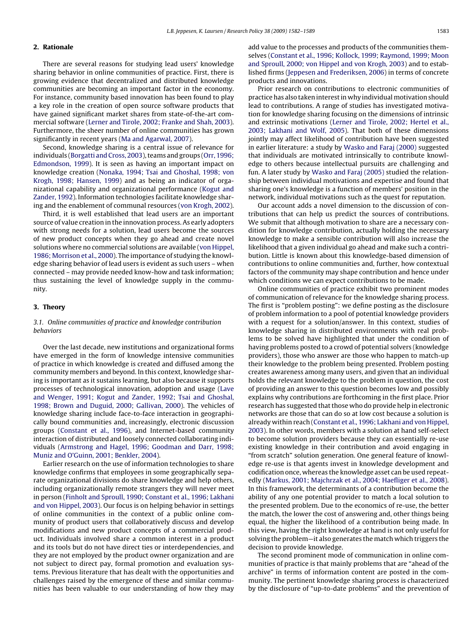# **2. Rationale**

There are several reasons for studying lead users' knowledge sharing behavior in online communities of practice. First, there is growing evidence that decentralized and distributed knowledge communities are becoming an important factor in the economy. For instance, community based innovation has been found to play a key role in the creation of open source software products that have gained significant market shares from state-of-the-art commercial software ([Lerner and Tirole, 2002; Franke and Shah, 2003\).](#page-7-0) Furthermore, the sheer number of online communities has grown significantly in recent years [\(Ma and Agarwal, 2007\).](#page-7-0)

Second, knowledge sharing is a central issue of relevance for individuals ([Borgatti and Cross, 2003\),](#page-7-0) teams and groups [\(Orr, 1996;](#page-7-0) [Edmondson, 1999\).](#page-7-0) It is seen as having an important impact on knowledge creation [\(Nonaka, 1994; Tsai and Ghoshal, 1998; von](#page-7-0) [Krogh, 1998; Hansen, 1999\)](#page-7-0) and as being an indicator of organizational capability and organizational performance ([Kogut and](#page-7-0) [Zander, 1992\).](#page-7-0) Information technologies facilitate knowledge sharing and the enablement of communal resources ([von Krogh, 2002\).](#page-7-0)

Third, it is well established that lead users are an important source of value creation in the innovation process. As early adopters with strong needs for a solution, lead users become the sources of new product concepts when they go ahead and create novel solutions where no commercial solutions are available [\(von Hippel,](#page-7-0) [1986; Morrison et al., 2000\).](#page-7-0) The importance of studying the knowledge sharing behavior of lead users is evident as such users – when connected – may provide needed know-how and task information; thus sustaining the level of knowledge supply in the community.

# **3. Theory**

# 3.1. Online communities of practice and knowledge contribution behaviors

Over the last decade, new institutions and organizational forms have emerged in the form of knowledge intensive communities of practice in which knowledge is created and diffused among the community members and beyond. In this context, knowledge sharing is important as it sustains learning, but also because it supports processes of technological innovation, adoption and usage [\(Lave](#page-7-0) [and Wenger, 1991; Kogut and Zander, 1992; Tsai and Ghoshal,](#page-7-0) [1998; Brown and Duguid, 2000; Gallivan, 2000\).](#page-7-0) The vehicles of knowledge sharing include face-to-face interaction in geographically bound communities and, increasingly, electronic discussion groups ([Constant et al., 1996\),](#page-7-0) and Internet-based community interaction of distributed and loosely connected collaborating individuals ([Armstrong and Hagel, 1996; Goodman and Darr, 1998;](#page-7-0) [Muniz and O'Guinn, 2001; Benkler, 2004\).](#page-7-0)

Earlier research on the use of information technologies to share knowledge confirms that employees in some geographically separate organizational divisions do share knowledge and help others, including organizationally remote strangers they will never meet in person [\(Finholt and Sproull, 1990; Constant et al., 1996; Lakhani](#page-7-0) [and von Hippel, 2003\).](#page-7-0) Our focus is on helping behavior in settings of online communities in the context of a public online community of product users that collaboratively discuss and develop modifications and new product concepts of a commercial product. Individuals involved share a common interest in a product and its tools but do not have direct ties or interdependencies, and they are not employed by the product owner organization and are not subject to direct pay, formal promotion and evaluation systems. Previous literature that has dealt with the opportunities and challenges raised by the emergence of these and similar communities has been valuable to our understanding of how they may add value to the processes and products of the communities themselves [\(Constant et al., 1996; Kollock, 1999; Raymond, 1999; Moon](#page-7-0) [and Sproull, 2000; von Hippel and von Krogh, 2003\)](#page-7-0) and to established firms [\(Jeppesen and Frederiksen, 2006\) i](#page-7-0)n terms of concrete products and innovations.

Prior research on contributions to electronic communities of practice has also taken interest in why individualmotivation should lead to contributions. A range of studies has investigated motivation for knowledge sharing focusing on the dimensions of intrinsic and extrinsic motivations [\(Lerner and Tirole, 2002; Hertel et al.,](#page-7-0) [2003; Lakhani and Wolf, 2005\).](#page-7-0) That both of these dimensions jointly may affect likelihood of contribution have been suggested in earlier literature: a study by [Wasko and Faraj \(2000\)](#page-7-0) suggested that individuals are motivated intrinsically to contribute knowledge to others because intellectual pursuits are challenging and fun. A later study by [Wasko and Faraj \(2005\)](#page-7-0) studied the relationship between individual motivations and expertise and found that sharing one's knowledge is a function of members' position in the network, individual motivations such as the quest for reputation.

Our account adds a novel dimension to the discussion of contributions that can help us predict the sources of contributions. We submit that although motivation to share are a necessary condition for knowledge contribution, actually holding the necessary knowledge to make a sensible contribution will also increase the likelihood that a given individual go ahead and make such a contribution. Little is known about this knowledge-based dimension of contributions to online communities and, further, how contextual factors of the community may shape contribution and hence under which conditions we can expect contributions to be made.

Online communities of practice exhibit two prominent modes of communication of relevance for the knowledge sharing process. The first is "problem posting": we define posting as the disclosure of problem information to a pool of potential knowledge providers with a request for a solution/answer. In this context, studies of knowledge sharing in distributed environments with real problems to be solved have highlighted that under the condition of having problems posted to a crowd of potential solvers (knowledge providers), those who answer are those who happen to match-up their knowledge to the problem being presented. Problem posting creates awareness among many users, and given that an individual holds the relevant knowledge to the problem in question, the cost of providing an answer to this question becomes low and possibly explains why contributions are forthcoming in the first place. Prior research has suggested that those who do provide help in electronic networks are those that can do so at low cost because a solution is already within reach [\(Constant et al., 1996; Lakhani and von Hippel,](#page-7-0) [2003\).](#page-7-0) In other words, members with a solution at hand self-select to become solution providers because they can essentially re-use existing knowledge in their contribution and avoid engaging in "from scratch" solution generation. One general feature of knowledge re-use is that agents invest in knowledge development and codification once, whereas the knowledge asset can be used repeatedly [\(Markus, 2001; Majchrzak et al., 2004; Haefliger et al., 2008\).](#page-7-0) In this framework, the determinants of a contribution become the ability of any one potential provider to match a local solution to the presented problem. Due to the economics of re-use, the better the match, the lower the cost of answering and, other things being equal, the higher the likelihood of a contribution being made. In this view, having the right knowledge at hand is not only useful for solving the problem—it also generates the match which triggers the decision to provide knowledge.

The second prominent mode of communication in online communities of practice is that mainly problems that are "ahead of the archive" in terms of information content are posted in the community. The pertinent knowledge sharing process is characterized by the disclosure of "up-to-date problems" and the prevention of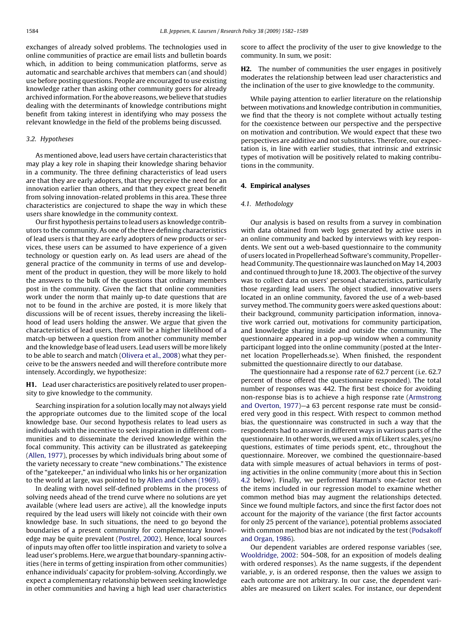exchanges of already solved problems. The technologies used in online communities of practice are email lists and bulletin boards which, in addition to being communication platforms, serve as automatic and searchable archives that members can (and should) use before posting questions. People are encouraged to use existing knowledge rather than asking other community goers for already archived information. For the above reasons, we believe that studies dealing with the determinants of knowledge contributions might benefit from taking interest in identifying who may possess the relevant knowledge in the field of the problems being discussed.

# 3.2. Hypotheses

As mentioned above, lead users have certain characteristics that may play a key role in shaping their knowledge sharing behavior in a community. The three defining characteristics of lead users are that they are early adopters, that they perceive the need for an innovation earlier than others, and that they expect great benefit from solving innovation-related problems in this area. These three characteristics are conjectured to shape the way in which these users share knowledge in the community context.

Our first hypothesis pertains to lead users as knowledge contributors to the community. As one of the three defining characteristics of lead users is that they are early adopters of new products or services, these users can be assumed to have experience of a given technology or question early on. As lead users are ahead of the general practice of the community in terms of use and development of the product in question, they will be more likely to hold the answers to the bulk of the questions that ordinary members post in the community. Given the fact that online communities work under the norm that mainly up-to date questions that are not to be found in the archive are posted, it is more likely that discussions will be of recent issues, thereby increasing the likelihood of lead users holding the answer. We argue that given the characteristics of lead users, there will be a higher likelihood of a match-up between a question from another community member and the knowledge base of lead users. Lead users will be more likely to be able to search and match ([Olivera et al., 2008\) w](#page-7-0)hat they perceive to be the answers needed and will therefore contribute more intensely. Accordingly, we hypothesize:

**H1.** Lead user characteristics are positively related to user propensity to give knowledge to the community.

Searching inspiration for a solution locally may not always yield the appropriate outcomes due to the limited scope of the local knowledge base. Our second hypothesis relates to lead users as individuals with the incentive to seek inspiration in different communities and to disseminate the derived knowledge within the focal community. This activity can be illustrated as gatekeeping ([Allen, 1977\),](#page-7-0) processes by which individuals bring about some of the variety necessary to create "new combinations." The existence of the "gatekeeper," an individual who links his or her organization to the world at large, was pointed to by [Allen and Cohen \(1969\).](#page-7-0)

In dealing with novel self-defined problems in the process of solving needs ahead of the trend curve where no solutions are yet available (where lead users are active), all the knowledge inputs required by the lead users will likely not coincide with their own knowledge base. In such situations, the need to go beyond the boundaries of a present community for complementary knowledge may be quite prevalent ([Postrel, 2002\).](#page-7-0) Hence, local sources of inputs may often offer too little inspiration and variety to solve a lead user's problems. Here, we argue that boundary-spanning activities (here in terms of getting inspiration from other communities) enhance individuals' capacity for problem-solving. Accordingly, we expect a complementary relationship between seeking knowledge in other communities and having a high lead user characteristics score to affect the proclivity of the user to give knowledge to the community. In sum, we posit:

**H2.** The number of communities the user engages in positively moderates the relationship between lead user characteristics and the inclination of the user to give knowledge to the community.

While paying attention to earlier literature on the relationship between motivations and knowledge contribution in communities, we find that the theory is not complete without actually testing for the coexistence between our perspective and the perspective on motivation and contribution. We would expect that these two perspectives are additive and not substitutes. Therefore, our expectation is, in line with earlier studies, that intrinsic and extrinsic types of motivation will be positively related to making contributions in the community.

### **4. Empirical analyses**

#### 4.1. Methodology

Our analysis is based on results from a survey in combination with data obtained from web logs generated by active users in an online community and backed by interviews with key respondents. We sent out a web-based questionnaire to the community of users located in Propellerhead Software's community, Propellerhead Community. The questionnaire was launched on May 14, 2003 and continued through to June 18, 2003. The objective of the survey was to collect data on users' personal characteristics, particularly those regarding lead users. The object studied, innovative users located in an online community, favored the use of a web-based survey method. The community goers were asked questions about: their background, community participation information, innovative work carried out, motivations for community participation, and knowledge sharing inside and outside the community. The questionnaire appeared in a pop-up window when a community participant logged into the online community (posted at the Internet location Propellerheads.se). When finished, the respondent submitted the questionnaire directly to our database.

The questionnaire had a response rate of 62.7 percent (i.e. 62.7 percent of those offered the questionnaire responded). The total number of responses was 442. The first best choice for avoiding non-response bias is to achieve a high response rate ([Armstrong](#page-7-0) [and Overton, 1977\)—](#page-7-0)a 63 percent response rate must be considered very good in this respect. With respect to common method bias, the questionnaire was constructed in such a way that the respondents had to answer in different ways in various parts of the questionnaire. In other words, we used a mix of Likert scales, yes/no questions, estimates of time periods spent, etc., throughout the questionnaire. Moreover, we combined the questionnaire-based data with simple measures of actual behaviors in terms of posting activities in the online community (more about this in Section [4.2](#page-3-0) below). Finally, we performed Harman's one-factor test on the items included in our regression model to examine whether common method bias may augment the relationships detected. Since we found multiple factors, and since the first factor does not account for the majority of the variance (the first factor accounts for only 25 percent of the variance), potential problems associated with common method bias are not indicated by the test ([Podsakoff](#page-7-0) [and Organ, 1986\).](#page-7-0)

Our dependent variables are ordered response variables (see, [Wooldridge, 2002:](#page-7-0) 504–508, for an exposition of models dealing with ordered responses). As the name suggests, if the dependent variable, y, is an ordered response, then the values we assign to each outcome are not arbitrary. In our case, the dependent variables are measured on Likert scales. For instance, our dependent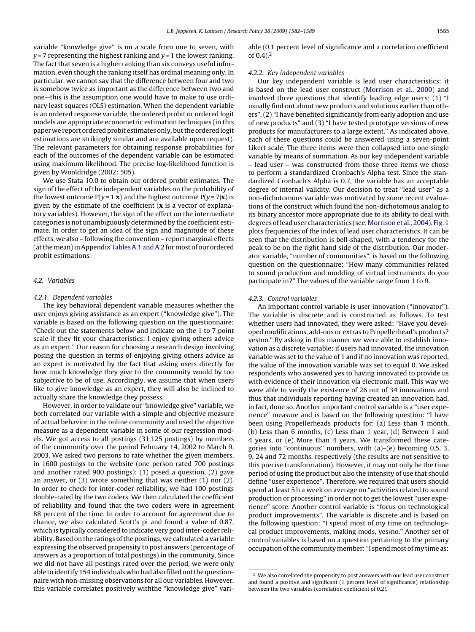<span id="page-3-0"></span>variable "knowledge give" is on a scale from one to seven, with  $y = 7$  representing the highest ranking and  $y = 1$  the lowest ranking. The fact that seven is a higher ranking than six conveys useful information, even though the ranking itself has ordinal meaning only. In particular, we cannot say that the difference between four and two is somehow twice as important as the difference between two and one—this is the assumption one would have to make to use ordinary least squares (OLS) estimation. When the dependent variable is an ordered response variable, the ordered probit or ordered logit models are appropriate econometric estimation techniques (in this paper we report ordered probit estimates only, but the ordered logit estimations are strikingly similar and are available upon request). The relevant parameters for obtaining response probabilities for each of the outcomes of the dependent variable can be estimated using maximum likelihood. The precise log-likelihood function is given by Wooldridge (2002: 505).

We use Stata 10.0 to obtain our ordered probit estimates. The sign of the effect of the independent variables on the probability of the lowest outcome  $P(y = 1|\mathbf{x})$  and the highest outcome  $P(y = 7|\mathbf{x})$  is given by the estimate of the coefficient (**x** is a vector of explanatory variables). However, the sign of the effect on the intermediate categories is not unambiguously determined by the coefficient estimate. In order to get an idea of the sign and magnitude of these effects, we also – following the convention – report marginal effects (at the mean) in Appendix [Tables A.1 and A.2](#page-6-0) for most of our ordered probit estimations.

#### 4.2. Variables

#### 4.2.1. Dependent variables

The key behavioral dependent variable measures whether the user enjoys giving assistance as an expert ("knowledge give"). The variable is based on the following question on the questionnaire: "Check out the statements below and indicate on the 1 to 7 point scale if they fit your characteristics: I enjoy giving others advice as an expert." Our reason for choosing a research design involving posing the question in terms of enjoying giving others advice as an expert is motivated by the fact that asking users directly for how much knowledge they give to the community would by too subjective to be of use. Accordingly, we assume that when users like to give knowledge as an expert, they will also be inclined to actually share the knowledge they possess.

However, in order to validate our "knowledge give" variable, we both correlated our variable with a simple and objective measure of actual behavior in the online community and used the objective measure as a dependent variable in some of our regression models. We got access to all postings (31,125 postings) by members of the community over the period February 14, 2002 to March 9, 2003. We asked two persons to rate whether the given members, in 1600 postings to the website (one person rated 700 postings and another rated 900 postings): (1) posed a question, (2) gave an answer, or (3) wrote something that was neither (1) nor (2). In order to check for inter-coder reliability, we had 100 postings double-rated by the two coders. We then calculated the coefficient of reliability and found that the two coders were in agreement 88 percent of the time. In order to account for agreement due to chance, we also calculated Scott's pi and found a value of 0.87, which is typically considered to indicate very good inter-coder reliability. Based on the ratings of the postings, we calculated a variable expressing the observed propensity to post answers (percentage of answers as a proportion of total postings) in the community. Since we did not have all postings rated over the period, we were only able to identify 154 individuals who had also filled out the questionnaire with non-missing observations for all our variables. However, this variable correlates positively withthe "knowledge give" variable (0.1 percent level of significance and a correlation coefficient of  $(0.4)$ .<sup>2</sup>

#### 4.2.2. Key independent variables

Our key independent variable is lead user characteristics: it is based on the lead user construct ([Morrison et al., 2000\)](#page-7-0) and involved three questions that identify leading edge users: (1) "I usually find out about new products and solutions earlier than others", (2) "I have benefited significantly from early adoption and use of new products" and (3) "I have tested prototype versions of new products for manufacturers to a large extent." As indicated above, each of these questions could be answered using a seven-point Likert scale. The three items were then collapsed into one single variable by means of summation. As our key independent variable – lead user – was constructed from those three items we chose to perform a standardized Cronbach's Alpha test. Since the standardized Cronbach's Alpha is 0.7, the variable has an acceptable degree of internal validity. Our decision to treat "lead user" as a non-dichotomous variable was motivated by some recent evaluations of the construct which found the non-dichotomous analog to its binary ancestor more appropriate due to its ability to deal with degrees of lead user characteristics (see,[Morrison et al., 2004\).](#page-7-0) [Fig. 1](#page-4-0) plots frequencies of the index of lead user characteristics. It can be seen that the distribution is bell-shaped, with a tendency for the peak to be on the right hand side of the distribution. Our moderator variable, "number of communities", is based on the following question on the questionnaire: "How many communities related to sound production and modding of virtual instruments do you participate in?" The values of the variable range from 1 to 9.

#### 4.2.3. Control variables

An important control variable is user innovation ("innovator"). The variable is discrete and is constructed as follows. To test whether users had innovated, they were asked: "Have you developed modifications, add-ons or extras to Propellerhead's products? yes/no." By asking in this manner we were able to establish innovation as a discrete variable: if users had innovated, the innovation variable was set to the value of 1 and if no innovation was reported, the value of the innovation variable was set to equal 0. We asked respondents who answered yes to having innovated to provide us with evidence of their innovation via electronic mail. This way we were able to verify the existence of 26 out of 34 innovations and thus that individuals reporting having created an innovation had, in fact, done so. Another important control variable is a "user experience" measure and is based on the following question: "I have been using Propellerheads products for: (a) Less than 1 month, (b) Less than 6 months, (c) Less than 1 year, (d) Between 1 and 4 years, or (e) More than 4 years. We transformed these categories into "continuous" numbers, with (a)–(e) becoming 0.5, 3, 9, 24 and 72 months, respectively (the results are not sensitive to this precise transformation). However, it may not only be the time period of using the product but also the intensity of use that should define "user experience". Therefore, we required that users should spend at least 5 h a week on average on "activities related to sound production or processing" in order not to get the lowest "user experience" score. Another control variable is "focus on technological product improvements". The variable is discrete and is based on the following question: "I spend most of my time on technological product improvements, making mods, yes/no." Another set of control variables is based on a question pertaining to the primary occupation of the community member: "I spend most of my time as:

<sup>&</sup>lt;sup>2</sup> We also correlated the propensity to post answers with our lead user construct and found a positive and significant (1 percent level of significance) relationship between the two variables (correlation coefficient of 0.2).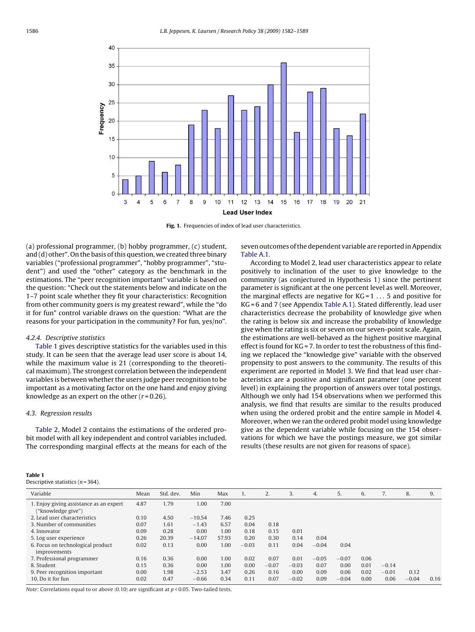<span id="page-4-0"></span>

Fig. 1. Frequencies of index of lead user characteristics.

(a) professional programmer, (b) hobby programmer, (c) student, and (d) other". On the basis of this question, we created three binary variables ("professional programmer", "hobby programmer", "student") and used the "other" category as the benchmark in the estimations. The "peer recognition important" variable is based on the question: "Check out the statements below and indicate on the 1–7 point scale whether they fit your characteristics: Recognition from other community goers is my greatest reward", while the "do it for fun" control variable draws on the question: "What are the reasons for your participation in the community? For fun, yes/no".

#### 4.2.4. Descriptive statistics

Table 1 gives descriptive statistics for the variables used in this study. It can be seen that the average lead user score is about 14, while the maximum value is 21 (corresponding to the theoretical maximum). The strongest correlation between the independent variables is between whether the users judge peer recognition to be important as a motivating factor on the one hand and enjoy giving knowledge as an expert on the other  $(r=0.26)$ .

# 4.3. Regression results

[Table 2,](#page-5-0) Model 2 contains the estimations of the ordered probit model with all key independent and control variables included. The corresponding marginal effects at the means for each of the seven outcomes of the dependent variable are reported in Appendix [Table A.1.](#page-6-0)

According to Model 2, lead user characteristics appear to relate positively to inclination of the user to give knowledge to the community (as conjectured in Hypothesis 1) since the pertinent parameter is significant at the one percent level as well. Moreover, the marginal effects are negative for  $KG = 1 \ldots 5$  and positive for KG = 6 and 7 (see Appendix [Table A.1\).](#page-6-0) Stated differently, lead user characteristics decrease the probability of knowledge give when the rating is below six and increase the probability of knowledge give when the rating is six or seven on our seven-point scale. Again, the estimations are well-behaved as the highest positive marginal effect is found for KG = 7. In order to test the robustness of this finding we replaced the "knowledge give" variable with the observed propensity to post answers to the community. The results of this experiment are reported in Model 3. We find that lead user characteristics are a positive and significant parameter (one percent level) in explaining the proportion of answers over total postings. Although we only had 154 observations when we performed this analysis, we find that results are similar to the results produced when using the ordered probit and the entire sample in Model 4. Moreover, when we ran the ordered probit model using knowledge give as the dependent variable while focusing on the 154 observations for which we have the postings measure, we got similar results (these results are not given for reasons of space).

| ×<br>. . | <b>COLLEGE</b><br>I | ۰. |  |
|----------|---------------------|----|--|
|          |                     |    |  |

Descriptive statistics  $(n = 364)$ .

| Variable                                                      | Mean | Std. dev. | Min      | Max   | ı.      | 2.      | 3.      | 4.      | 5.      | 6.   | $\prime$ . | 8.      | 9.   |
|---------------------------------------------------------------|------|-----------|----------|-------|---------|---------|---------|---------|---------|------|------------|---------|------|
| 1. Enjoy giving assistance as an expert<br>("knowledge give") | 4.87 | 1.79      | 1.00     | 7.00  |         |         |         |         |         |      |            |         |      |
| 2. Lead user characteristics                                  | 0.10 | 4.50      | $-10.54$ | 7.46  | 0.25    |         |         |         |         |      |            |         |      |
| 3. Number of communities                                      | 0.07 | 1.61      | $-1.43$  | 6.57  | 0.04    | 0.18    |         |         |         |      |            |         |      |
| 4. Innovator                                                  | 0.09 | 0.28      | 0.00     | 1.00  | 0.18    | 0.15    | 0.01    |         |         |      |            |         |      |
| 5. Log user experience                                        | 0.26 | 20.39     | $-14.07$ | 57.93 | 0.20    | 0.30    | 0.14    | 0.04    |         |      |            |         |      |
| 6. Focus on technological product<br>improvements             | 0.02 | 0.13      | 0.00     | 1.00  | $-0.03$ | 0.11    | 0.04    | $-0.04$ | 0.04    |      |            |         |      |
| 7. Professional programmer                                    | 0.16 | 0.36      | 0.00     | 1.00  | 0.02    | 0.07    | 0.01    | $-0.05$ | $-0.07$ | 0.06 |            |         |      |
| 8. Student                                                    | 0.15 | 0.36      | 0.00     | 1.00  | 0.00    | $-0.07$ | $-0.03$ | 0.07    | 0.00    | 0.01 | $-0.14$    |         |      |
| 9. Peer recognition important                                 | 0.00 | 1.98      | $-2.53$  | 3.47  | 0.26    | 0.16    | 0.00    | 0.09    | 0.06    | 0.02 | $-0.01$    | 0.12    |      |
| 10. Do it for fun                                             | 0.02 | 0.47      | $-0.66$  | 0.34  | 0.11    | 0.07    | $-0.02$ | 0.09    | $-0.04$ | 0.00 | 0.06       | $-0.04$ | 0.16 |

Note: Correlations equal to or above  $|0.10|$  are significant at  $p < 0.05$ . Two-tailed tests.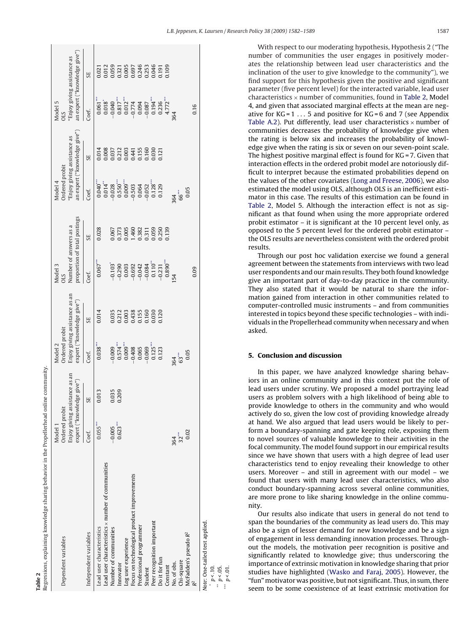Regressions, explaining knowledge sharing behavior in the Propellerhead online community. Regressions, explaining knowledge sharing behavior in the Propellerhead online community **Table 2**

<span id="page-5-0"></span>

With respect to our moderating hypothesis, Hypothesis 2 ("The number of communities the user engages in positively moderates the relationship between lead user characteristics and the inclination of the user to give knowledge to the community"), we find support for this hypothesis given the positive and significant parameter (five percent level) for the interacted variable, lead user characteristics  $\times$  number of communities, found in Table 2, Model 4, and given that associated marginal effects at the mean are negative for  $KG = 1 \ldots 5$  and positive for  $KG = 6$  and 7 (see Appendix [Table A.2\).](#page-6-0) Put differently, lead user characteristics  $\times$  number of communities decreases the probability of knowledge give when the rating is below six and increases the probability of knowledge give when the rating is six or seven on our seven-point scale. The highest positive marginal effect is found for KG = 7. Given that interaction effects in the ordered probit model are notoriously difficult to interpret because the estimated probabilities depend on the values of the other covariates ([Long and Freese, 2006\),](#page-7-0) we also estimated the model using OLS, although OLS is an inefficient estimator in this case. The results of this estimation can be found in Table 2, Model 5. Although the interaction effect is not as significant as that found when using the more appropriate ordered probit estimator – it is significant at the 10 percent level only, as opposed to the 5 percent level for the ordered probit estimator – the OLS results are nevertheless consistent with the ordered probit results.

Through our post hoc validation exercise we found a general agreement between the statements from interviews with two lead user respondents and our main results. They both found knowledge give an important part of day-to-day practice in the community. They also stated that it would be natural to share the information gained from interaction in other communities related to computer-controlled music instruments – and from communities interested in topics beyond these specific technologies – with individuals in the Propellerhead community when necessary and when asked.

# **5. Conclusion and discussion**

In this paper, we have analyzed knowledge sharing behaviors in an online community and in this context put the role of lead users under scrutiny. We proposed a model portraying lead users as problem solvers with a high likelihood of being able to provide knowledge to others in the community and who would actively do so, given the low cost of providing knowledge already at hand. We also argued that lead users would be likely to perform a boundary-spanning and gate keeping role, exposing them to novel sources of valuable knowledge to their activities in the focal community. The model found support in our empirical results since we have shown that users with a high degree of lead user characteristics tend to enjoy revealing their knowledge to other users. Moreover – and still in agreement with our model – we found that users with many lead user characteristics, who also conduct boundary-spanning across several online communities, are more prone to like sharing knowledge in the online community.

Our results also indicate that users in general do not tend to span the boundaries of the community as lead users do. This may also be a sign of lesser demand for new knowledge and be a sign of engagement in less demanding innovation processes. Throughout the models, the motivation peer recognition is positive and significantly related to knowledge give; thus underscoring the importance of extrinsic motivation in knowledge sharing that prior studies have highlighted [\(Wasko and Faraj, 2005\).](#page-7-0) However, the "fun"motivator was positive, but not significant. Thus, in sum, there seem to be some coexistence of at least extrinsic motivation for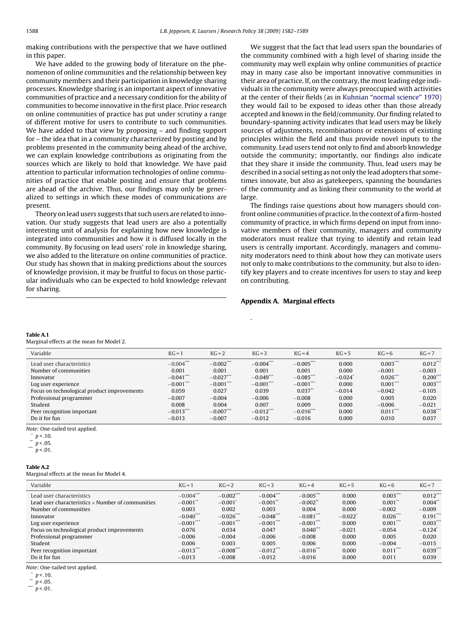<span id="page-6-0"></span>making contributions with the perspective that we have outlined in this paper.

We have added to the growing body of literature on the phenomenon of online communities and the relationship between key community members and their participation in knowledge sharing processes. Knowledge sharing is an important aspect of innovative communities of practice and a necessary condition for the ability of communities to become innovative in the first place. Prior research on online communities of practice has put under scrutiny a range of different motive for users to contribute to such communities. We have added to that view by proposing – and finding support for – the idea that in a community characterized by posting and by problems presented in the community being ahead of the archive, we can explain knowledge contributions as originating from the sources which are likely to hold that knowledge. We have paid attention to particular information technologies of online communities of practice that enable posting and ensure that problems are ahead of the archive. Thus, our findings may only be generalized to settings in which these modes of communications are present.

Theory on lead users suggests that such users are related to innovation. Our study suggests that lead users are also a potentially interesting unit of analysis for explaining how new knowledge is integrated into communities and how it is diffused locally in the community. By focusing on lead users' role in knowledge sharing, we also added to the literature on online communities of practice. Our study has shown that in making predictions about the sources of knowledge provision, it may be fruitful to focus on those particular individuals who can be expected to hold knowledge relevant for sharing.

We suggest that the fact that lead users span the boundaries of the community combined with a high level of sharing inside the community may well explain why online communities of practice may in many case also be important innovative communities in their area of practice. If, on the contrary, the most leading edge individuals in the community were always preoccupied with activities at the center of their fields (as in [Kuhnian "normal science" 1970\)](#page-7-0) they would fail to be exposed to ideas other than those already accepted and known in the field/community. Our finding related to boundary-spanning activity indicates that lead users may be likely sources of adjustments, recombinations or extensions of existing principles within the field and thus provide novel inputs to the community. Lead users tend not only to find and absorb knowledge outside the community; importantly, our findings also indicate that they share it inside the community. Thus, lead users may be described in a social setting as not only the lead adopters that sometimes innovate, but also as gatekeepers, spanning the boundaries of the community and as linking their community to the world at large.

The findings raise questions about how managers should confront online communities of practice. In the context of a firm-hosted community of practice, in which firms depend on input from innovative members of their community, managers and community moderators must realize that trying to identify and retain lead users is centrally important. Accordingly, managers and community moderators need to think about how they can motivate users not only to make contributions to the community, but also to identify key players and to create incentives for users to stay and keep on contributing.

### **Appendix A. Marginal effects**

#### **Table A.1**

Marginal effects at the mean for Model 2.

| $KG = 3$<br>$KG = 5$<br>$KG = 7$<br>$KG = 4$<br>$KG=6$                        |
|-------------------------------------------------------------------------------|
| $0.003***$<br>$0.012$ **<br>$-0.004$ ***<br>$-0.005$ ***<br>0.000             |
| 0.001<br>0.001<br>0.000<br>$-0.003$<br>$-0.001$                               |
| $0.026***$<br>$0.200***$<br>$-0.049$<br>$-0.085$ ***<br>$-0.024$ <sup>*</sup> |
| $0.001***$<br>$0.003$ ***<br>$-0.001***$<br>$-0.001***$<br>0.000              |
| 0.037<br>0.039<br>$-0.014$<br>$-0.042$<br>$-0.105$                            |
| $-0.006$<br>0.000<br>$-0.008$<br>0.020<br>0.005                               |
| 0.007<br>0.009<br>0.000<br>$-0.006$<br>$-0.021$                               |
| $0.011***$<br>$0.038***$<br>$-0.012$ ***<br>$-0.016$ ***<br>0.000             |
| $-0.012$<br>0.000<br>$-0.016$<br>0.010<br>0.037                               |
|                                                                               |

.

Note: One-tailed test applied.

 $\int_{\infty}^{\infty} p < .10$ .

\*\*  $p < .05$ .

 $p < .01$ .

#### **Table A.2**

Marginal effects at the mean for Model 4.

| Variable                                                 | $KG = 1$     | $KG = 2$              | $KG = 3$    | $KG = 4$     | $KG = 5$              | $KG = 6$    | $KG = 7$              |
|----------------------------------------------------------|--------------|-----------------------|-------------|--------------|-----------------------|-------------|-----------------------|
| Lead user characteristics                                | $-0.004***$  | $-0.002***$           | $-0.004***$ | $-0.005***$  | 0.000                 | $0.003***$  | $0.012$ ***           |
| Lead user characteristics $\times$ Number of communities | $-0.001$ **  | $-0.001$ <sup>*</sup> | $-0.001$ ** | $-0.002$     | 0.000                 | $0.001$ **  | $0.004*$              |
| Number of communities                                    | 0.003        | 0.002                 | 0.003       | 0.004        | 0.000                 | $-0.002$    | $-0.009$              |
| Innovator                                                | $-0.040$ *** | $-0.026$ ***          | $-0.048***$ | $-0.081$ *** | $-0.022$ <sup>*</sup> | $0.026$ *** | $0.191$ ***           |
| Log user experience                                      | $-0.001***$  | $-0.001***$           | $-0.001***$ | $-0.001***$  | 0.000                 | $0.001***$  | $0.003$ ***           |
| Focus on technological product improvements              | 0.076        | 0.034                 | 0.047       | 0.040        | $-0.021$              | $-0.054$    | $-0.124$ <sup>*</sup> |
| Professional programmer                                  | $-0.006$     | $-0.004$              | $-0.006$    | $-0.008$     | 0.000                 | 0.005       | 0.020                 |
| Student                                                  | 0.006        | 0.003                 | 0.005       | 0.006        | 0.000                 | $-0.004$    | $-0.015$              |
| Peer recognition important                               | $-0.013***$  | $-0.008***$           | $-0.012***$ | $-0.016$ *** | 0.000                 | $0.011***$  | $0.039$ **            |
| Do it for fun                                            | $-0.013$     | $-0.008$              | $-0.012$    | $-0.016$     | 0.000                 | 0.011       | 0.039                 |

Note: One-tailed test applied.

 $\int_{1}^{x} p < .10.$ 

 $n < .05$ . \*\*\*  $p < 01$ .